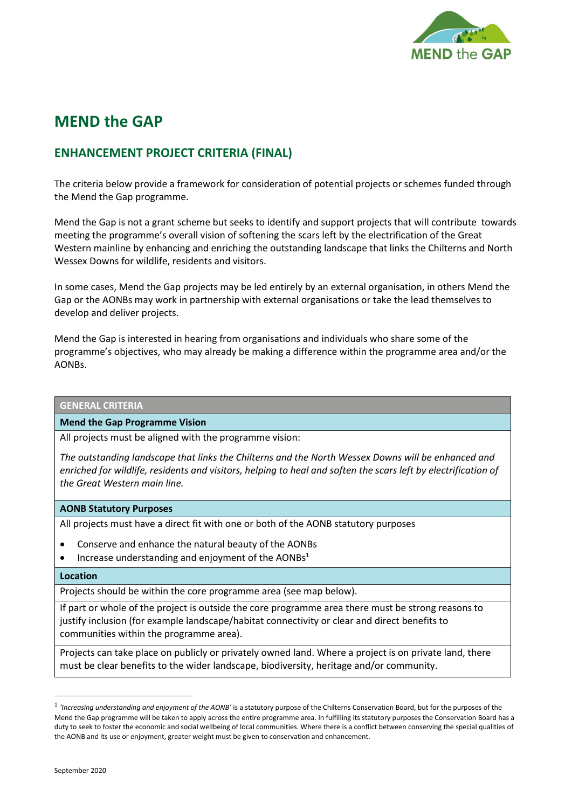

# **MEND the GAP**

# **ENHANCEMENT PROJECT CRITERIA (FINAL)**

The criteria below provide a framework for consideration of potential projects or schemes funded through the Mend the Gap programme.

Mend the Gap is not a grant scheme but seeks to identify and support projects that will contribute towards meeting the programme's overall vision of softening the scars left by the electrification of the Great Western mainline by enhancing and enriching the outstanding landscape that links the Chilterns and North Wessex Downs for wildlife, residents and visitors.

In some cases, Mend the Gap projects may be led entirely by an external organisation, in others Mend the Gap or the AONBs may work in partnership with external organisations or take the lead themselves to develop and deliver projects.

Mend the Gap is interested in hearing from organisations and individuals who share some of the programme's objectives, who may already be making a difference within the programme area and/or the AONBs.

# **GENERAL CRITERIA**

#### **Mend the Gap Programme Vision**

All projects must be aligned with the programme vision:

*The outstanding landscape that links the Chilterns and the North Wessex Downs will be enhanced and enriched for wildlife, residents and visitors, helping to heal and soften the scars left by electrification of the Great Western main line.*

#### **AONB Statutory Purposes**

All projects must have a direct fit with one or both of the AONB statutory purposes

- Conserve and enhance the natural beauty of the AONBs
- Increase understanding and enjoyment of the AONBs<sup>1</sup>

#### **Location**

Projects should be within the core programme area (see map below).

If part or whole of the project is outside the core programme area there must be strong reasons to justify inclusion (for example landscape/habitat connectivity or clear and direct benefits to communities within the programme area).

Projects can take place on publicly or privately owned land. Where a project is on private land, there must be clear benefits to the wider landscape, biodiversity, heritage and/or community.

<sup>1</sup> *'Increasing understanding and enjoyment of the AONB'* is a statutory purpose of the Chilterns Conservation Board, but for the purposes of the Mend the Gap programme will be taken to apply across the entire programme area. In fulfilling its statutory purposes the Conservation Board has a duty to seek to foster the economic and social wellbeing of local communities. Where there is a conflict between conserving the special qualities of the AONB and its use or enjoyment, greater weight must be given to conservation and enhancement.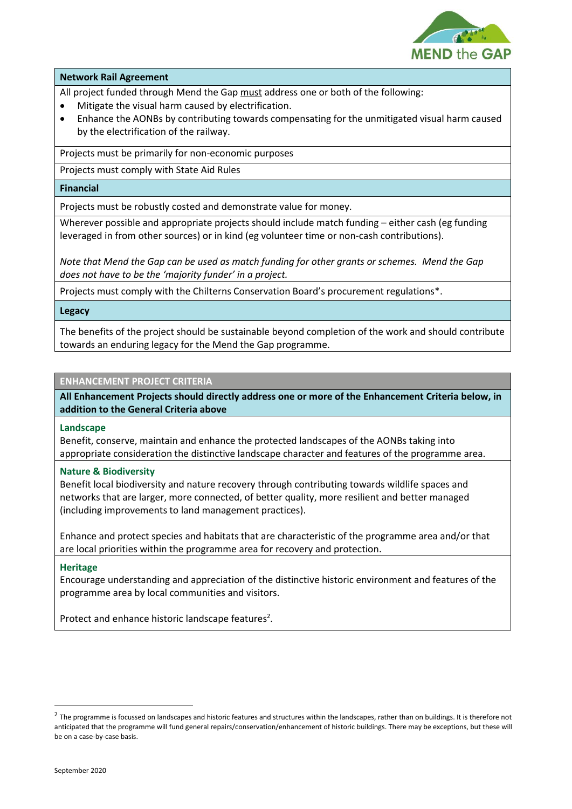

### **Network Rail Agreement**

All project funded through Mend the Gap must address one or both of the following:

- Mitigate the visual harm caused by electrification.
- Enhance the AONBs by contributing towards compensating for the unmitigated visual harm caused by the electrification of the railway.

Projects must be primarily for non-economic purposes

Projects must comply with State Aid Rules

### **Financial**

Projects must be robustly costed and demonstrate value for money.

Wherever possible and appropriate projects should include match funding – either cash (eg funding leveraged in from other sources) or in kind (eg volunteer time or non-cash contributions).

*Note that Mend the Gap can be used as match funding for other grants or schemes. Mend the Gap does not have to be the 'majority funder' in a project.*

Projects must comply with the Chilterns Conservation Board's procurement regulations\*.

# **Legacy**

The benefits of the project should be sustainable beyond completion of the work and should contribute towards an enduring legacy for the Mend the Gap programme.

# **ENHANCEMENT PROJECT CRITERIA**

**All Enhancement Projects should directly address one or more of the Enhancement Criteria below, in addition to the General Criteria above**

#### **Landscape**

Benefit, conserve, maintain and enhance the protected landscapes of the AONBs taking into appropriate consideration the distinctive landscape character and features of the programme area.

#### **Nature & Biodiversity**

Benefit local biodiversity and nature recovery through contributing towards wildlife spaces and networks that are larger, more connected, of better quality, more resilient and better managed (including improvements to land management practices).

Enhance and protect species and habitats that are characteristic of the programme area and/or that are local priorities within the programme area for recovery and protection.

# **Heritage**

Encourage understanding and appreciation of the distinctive historic environment and features of the programme area by local communities and visitors.

Protect and enhance historic landscape features<sup>2</sup>.

 $^2$  The programme is focussed on landscapes and historic features and structures within the landscapes, rather than on buildings. It is therefore not anticipated that the programme will fund general repairs/conservation/enhancement of historic buildings. There may be exceptions, but these will be on a case-by-case basis.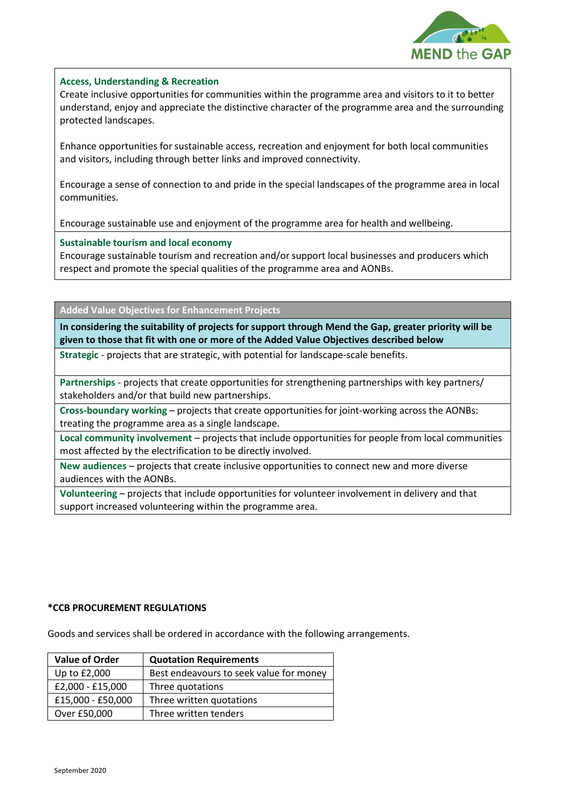

# **Access, Understanding & Recreation**

Create inclusive opportunities for communities within the programme area and visitors to it to better understand, enjoy and appreciate the distinctive character of the programme area and the surrounding protected landscapes.

Enhance opportunities for sustainable access, recreation and enjoyment for both local communities and visitors, including through better links and improved connectivity.

Encourage a sense of connection to and pride in the special landscapes of the programme area in local communities.

Encourage sustainable use and enjoyment of the programme area for health and wellbeing.

#### **Sustainable tourism and local economy**

Encourage sustainable tourism and recreation and/or support local businesses and producers which respect and promote the special qualities of the programme area and AONBs.

**Added Value Objectives for Enhancement Projects**

**In considering the suitability of projects for support through Mend the Gap, greater priority will be given to those that fit with one or more of the Added Value Objectives described below**

**Strategic** - projects that are strategic, with potential for landscape-scale benefits.

**Partnerships** - projects that create opportunities for strengthening partnerships with key partners/ stakeholders and/or that build new partnerships.

**Cross-boundary working** – projects that create opportunities for joint-working across the AONBs: treating the programme area as a single landscape.

**Local community involvement** – projects that include opportunities for people from local communities most affected by the electrification to be directly involved.

**New audiences** – projects that create inclusive opportunities to connect new and more diverse audiences with the AONBs.

**Volunteering** – projects that include opportunities for volunteer involvement in delivery and that support increased volunteering within the programme area.

# **\*CCB PROCUREMENT REGULATIONS**

Goods and services shall be ordered in accordance with the following arrangements.

| <b>Value of Order</b> | <b>Quotation Requirements</b>           |
|-----------------------|-----------------------------------------|
| Up to £2,000          | Best endeavours to seek value for money |
| £2,000 - £15,000      | Three quotations                        |
| £15,000 - £50,000     | Three written quotations                |
| Over £50,000          | Three written tenders                   |